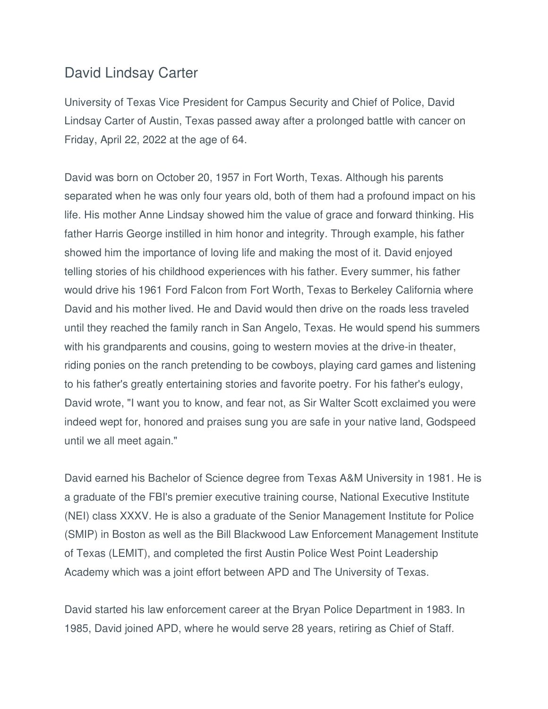## David Lindsay Carter

University of Texas Vice President for Campus Security and Chief of Police, David Lindsay Carter of Austin, Texas passed away after a prolonged battle with cancer on Friday, April 22, 2022 at the age of 64.

David was born on October 20, 1957 in Fort Worth, Texas. Although his parents separated when he was only four years old, both of them had a profound impact on his life. His mother Anne Lindsay showed him the value of grace and forward thinking. His father Harris George instilled in him honor and integrity. Through example, his father showed him the importance of loving life and making the most of it. David enjoyed telling stories of his childhood experiences with his father. Every summer, his father would drive his 1961 Ford Falcon from Fort Worth, Texas to Berkeley California where David and his mother lived. He and David would then drive on the roads less traveled until they reached the family ranch in San Angelo, Texas. He would spend his summers with his grandparents and cousins, going to western movies at the drive-in theater, riding ponies on the ranch pretending to be cowboys, playing card games and listening to his father's greatly entertaining stories and favorite poetry. For his father's eulogy, David wrote, "I want you to know, and fear not, as Sir Walter Scott exclaimed you were indeed wept for, honored and praises sung you are safe in your native land, Godspeed until we all meet again."

David earned his Bachelor of Science degree from Texas A&M University in 1981. He is a graduate of the FBI's premier executive training course, National Executive Institute (NEI) class XXXV. He is also a graduate of the Senior Management Institute for Police (SMIP) in Boston as well as the Bill Blackwood Law Enforcement Management Institute of Texas (LEMIT), and completed the first Austin Police West Point Leadership Academy which was a joint effort between APD and The University of Texas.

David started his law enforcement career at the Bryan Police Department in 1983. In 1985, David joined APD, where he would serve 28 years, retiring as Chief of Staff.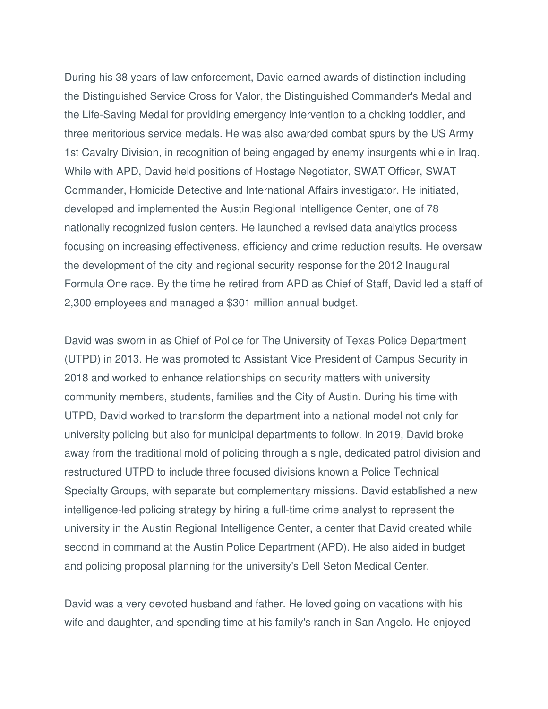During his 38 years of law enforcement, David earned awards of distinction including the Distinguished Service Cross for Valor, the Distinguished Commander's Medal and the Life-Saving Medal for providing emergency intervention to a choking toddler, and three meritorious service medals. He was also awarded combat spurs by the US Army 1st Cavalry Division, in recognition of being engaged by enemy insurgents while in Iraq. While with APD, David held positions of Hostage Negotiator, SWAT Officer, SWAT Commander, Homicide Detective and International Affairs investigator. He initiated, developed and implemented the Austin Regional Intelligence Center, one of 78 nationally recognized fusion centers. He launched a revised data analytics process focusing on increasing effectiveness, efficiency and crime reduction results. He oversaw the development of the city and regional security response for the 2012 Inaugural Formula One race. By the time he retired from APD as Chief of Staff, David led a staff of 2,300 employees and managed a \$301 million annual budget.

David was sworn in as Chief of Police for The University of Texas Police Department (UTPD) in 2013. He was promoted to Assistant Vice President of Campus Security in 2018 and worked to enhance relationships on security matters with university community members, students, families and the City of Austin. During his time with UTPD, David worked to transform the department into a national model not only for university policing but also for municipal departments to follow. In 2019, David broke away from the traditional mold of policing through a single, dedicated patrol division and restructured UTPD to include three focused divisions known a Police Technical Specialty Groups, with separate but complementary missions. David established a new intelligence-led policing strategy by hiring a full-time crime analyst to represent the university in the Austin Regional Intelligence Center, a center that David created while second in command at the Austin Police Department (APD). He also aided in budget and policing proposal planning for the university's Dell Seton Medical Center.

David was a very devoted husband and father. He loved going on vacations with his wife and daughter, and spending time at his family's ranch in San Angelo. He enjoyed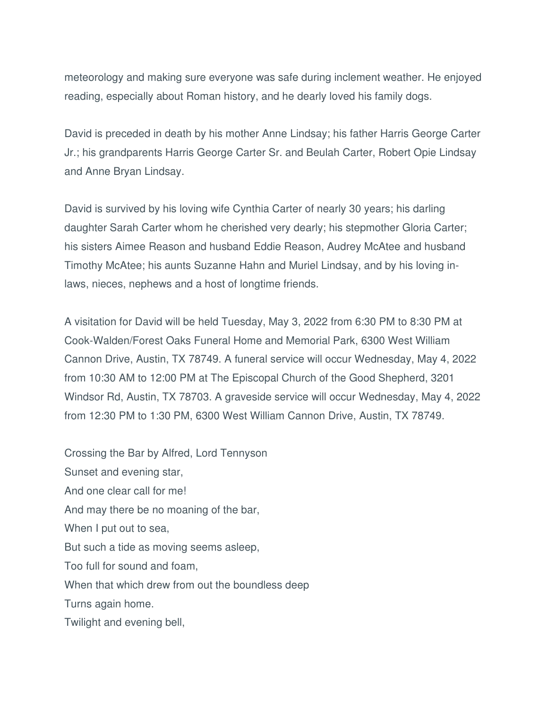meteorology and making sure everyone was safe during inclement weather. He enjoyed reading, especially about Roman history, and he dearly loved his family dogs.

David is preceded in death by his mother Anne Lindsay; his father Harris George Carter Jr.; his grandparents Harris George Carter Sr. and Beulah Carter, Robert Opie Lindsay and Anne Bryan Lindsay.

David is survived by his loving wife Cynthia Carter of nearly 30 years; his darling daughter Sarah Carter whom he cherished very dearly; his stepmother Gloria Carter; his sisters Aimee Reason and husband Eddie Reason, Audrey McAtee and husband Timothy McAtee; his aunts Suzanne Hahn and Muriel Lindsay, and by his loving inlaws, nieces, nephews and a host of longtime friends.

A visitation for David will be held Tuesday, May 3, 2022 from 6:30 PM to 8:30 PM at Cook-Walden/Forest Oaks Funeral Home and Memorial Park, 6300 West William Cannon Drive, Austin, TX 78749. A funeral service will occur Wednesday, May 4, 2022 from 10:30 AM to 12:00 PM at The Episcopal Church of the Good Shepherd, 3201 Windsor Rd, Austin, TX 78703. A graveside service will occur Wednesday, May 4, 2022 from 12:30 PM to 1:30 PM, 6300 West William Cannon Drive, Austin, TX 78749.

Crossing the Bar by Alfred, Lord Tennyson Sunset and evening star, And one clear call for me! And may there be no moaning of the bar, When I put out to sea, But such a tide as moving seems asleep, Too full for sound and foam, When that which drew from out the boundless deep Turns again home. Twilight and evening bell,